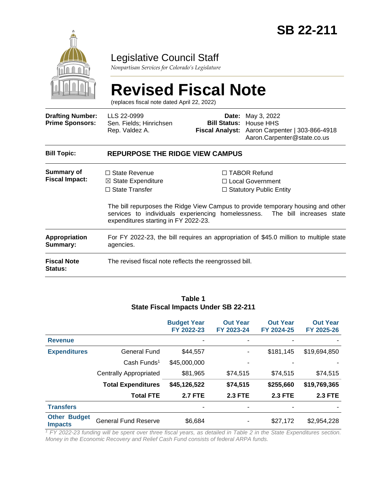

# Legislative Council Staff

*Nonpartisan Services for Colorado's Legislature*

# **Revised Fiscal Note**

(replaces fiscal note dated April 22, 2022)

| <b>Drafting Number:</b><br><b>Prime Sponsors:</b> | LLS 22-0999<br>Sen. Fields; Hinrichsen<br>Rep. Valdez A.                                                               |  | <b>Date:</b> May 3, 2022<br><b>Bill Status: House HHS</b><br>Fiscal Analyst: Aaron Carpenter   303-866-4918<br>Aaron.Carpenter@state.co.us                                                                                                     |  |  |
|---------------------------------------------------|------------------------------------------------------------------------------------------------------------------------|--|------------------------------------------------------------------------------------------------------------------------------------------------------------------------------------------------------------------------------------------------|--|--|
| <b>Bill Topic:</b>                                | <b>REPURPOSE THE RIDGE VIEW CAMPUS</b>                                                                                 |  |                                                                                                                                                                                                                                                |  |  |
| Summary of<br><b>Fiscal Impact:</b>               | $\Box$ State Revenue<br>$\boxtimes$ State Expenditure<br>$\Box$ State Transfer<br>expenditures starting in FY 2022-23. |  | $\Box$ TABOR Refund<br>□ Local Government<br>$\Box$ Statutory Public Entity<br>The bill repurposes the Ridge View Campus to provide temporary housing and other<br>services to individuals experiencing homelessness. The bill increases state |  |  |
| <b>Appropriation</b><br>Summary:                  | For FY 2022-23, the bill requires an appropriation of \$45.0 million to multiple state<br>agencies.                    |  |                                                                                                                                                                                                                                                |  |  |
| <b>Fiscal Note</b><br><b>Status:</b>              | The revised fiscal note reflects the reengrossed bill.                                                                 |  |                                                                                                                                                                                                                                                |  |  |

#### **Budget Year FY 2022-23 Out Year FY 2023-24 Out Year FY 2024-25 Out Year FY 2025-26 Revenue and a straight of the straight of the straight of the straight of the straight of the straight of the straight of the straight of the straight of the straight of the straight of the straight of the straight of the Expenditures** General Fund \$44,557 - \$181,145 \$19,694,850 Cash Funds<sup>1</sup> \$45,000,000 - - - Centrally Appropriated \$81,965 \$74,515 \$74,515 \$74,515 **Total Expenditures \$45,126,522 \$74,515 \$255,660 \$19,769,365 Total FTE 2.7 FTE 2.3 FTE 2.3 FTE 2.3 FTE Transfers** - - - - **Other Budget Impacts** General Fund Reserve  $$6,684$  - \$27,172 \$2,954,228

**Table 1 State Fiscal Impacts Under SB 22-211**

*<sup>1</sup> FY 2022-23 funding will be spent over three fiscal years, as detailed in Table 2 in the State Expenditures section. Money in the Economic Recovery and Relief Cash Fund consists of federal ARPA funds.*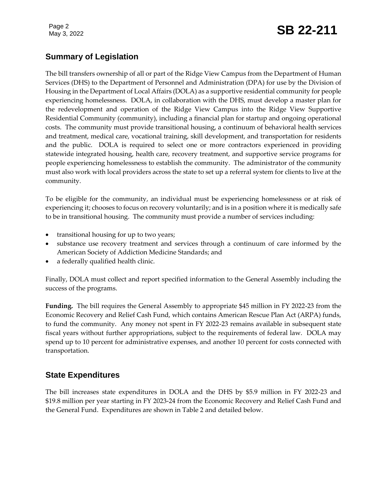# Page 2<br>May 3, 2022 **SB 22-211**

# **Summary of Legislation**

The bill transfers ownership of all or part of the Ridge View Campus from the Department of Human Services (DHS) to the Department of Personnel and Administration (DPA) for use by the Division of Housing in the Department of Local Affairs (DOLA) as a supportive residential community for people experiencing homelessness. DOLA, in collaboration with the DHS, must develop a master plan for the redevelopment and operation of the Ridge View Campus into the Ridge View Supportive Residential Community (community), including a financial plan for startup and ongoing operational costs. The community must provide transitional housing, a continuum of behavioral health services and treatment, medical care, vocational training, skill development, and transportation for residents and the public. DOLA is required to select one or more contractors experienced in providing statewide integrated housing, health care, recovery treatment, and supportive service programs for people experiencing homelessness to establish the community. The administrator of the community must also work with local providers across the state to set up a referral system for clients to live at the community.

To be eligible for the community, an individual must be experiencing homelessness or at risk of experiencing it; chooses to focus on recovery voluntarily; and is in a position where it is medically safe to be in transitional housing. The community must provide a number of services including:

- transitional housing for up to two years;
- substance use recovery treatment and services through a continuum of care informed by the American Society of Addiction Medicine Standards; and
- a federally qualified health clinic.

Finally, DOLA must collect and report specified information to the General Assembly including the success of the programs.

**Funding.** The bill requires the General Assembly to appropriate \$45 million in FY 2022-23 from the Economic Recovery and Relief Cash Fund, which contains American Rescue Plan Act (ARPA) funds, to fund the community. Any money not spent in FY 2022-23 remains available in subsequent state fiscal years without further appropriations, subject to the requirements of federal law. DOLA may spend up to 10 percent for administrative expenses, and another 10 percent for costs connected with transportation.

# **State Expenditures**

The bill increases state expenditures in DOLA and the DHS by \$5.9 million in FY 2022-23 and \$19.8 million per year starting in FY 2023-24 from the Economic Recovery and Relief Cash Fund and the General Fund. Expenditures are shown in Table 2 and detailed below.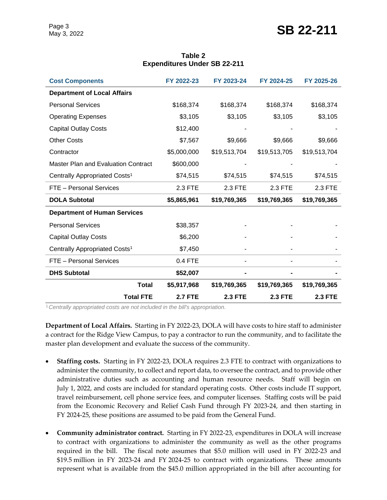| <b>Cost Components</b>                     | FY 2022-23     | FY 2023-24     | FY 2024-25     | FY 2025-26     |
|--------------------------------------------|----------------|----------------|----------------|----------------|
| <b>Department of Local Affairs</b>         |                |                |                |                |
| <b>Personal Services</b>                   | \$168,374      | \$168,374      | \$168,374      | \$168,374      |
| <b>Operating Expenses</b>                  | \$3,105        | \$3,105        | \$3,105        | \$3,105        |
| <b>Capital Outlay Costs</b>                | \$12,400       |                |                |                |
| <b>Other Costs</b>                         | \$7,567        | \$9,666        | \$9,666        | \$9,666        |
| Contractor                                 | \$5,000,000    | \$19,513,704   | \$19,513,705   | \$19,513,704   |
| <b>Master Plan and Evaluation Contract</b> | \$600,000      |                |                |                |
| Centrally Appropriated Costs <sup>1</sup>  | \$74,515       | \$74,515       | \$74,515       | \$74,515       |
| FTE - Personal Services                    | 2.3 FTE        | 2.3 FTE        | 2.3 FTE        | 2.3 FTE        |
| <b>DOLA Subtotal</b>                       | \$5,865,961    | \$19,769,365   | \$19,769,365   | \$19,769,365   |
| <b>Department of Human Services</b>        |                |                |                |                |
| <b>Personal Services</b>                   | \$38,357       |                |                |                |
| <b>Capital Outlay Costs</b>                | \$6,200        |                |                |                |
| Centrally Appropriated Costs <sup>1</sup>  | \$7,450        |                |                |                |
| FTE - Personal Services                    | 0.4 FTE        |                |                |                |
| <b>DHS Subtotal</b>                        | \$52,007       |                |                |                |
| <b>Total</b>                               | \$5,917,968    | \$19,769,365   | \$19,769,365   | \$19,769,365   |
| <b>Total FTE</b>                           | <b>2.7 FTE</b> | <b>2.3 FTE</b> | <b>2.3 FTE</b> | <b>2.3 FTE</b> |

#### **Table 2 Expenditures Under SB 22-211**

<sup>1</sup>*Centrally appropriated costs are not included in the bill's appropriation.*

**Department of Local Affairs.** Starting in FY 2022-23, DOLA will have costs to hire staff to administer a contract for the Ridge View Campus, to pay a contractor to run the community, and to facilitate the master plan development and evaluate the success of the community.

- **Staffing costs.** Starting in FY 2022-23, DOLA requires 2.3 FTE to contract with organizations to administer the community, to collect and report data, to oversee the contract, and to provide other administrative duties such as accounting and human resource needs. Staff will begin on July 1, 2022, and costs are included for standard operating costs. Other costs include IT support, travel reimbursement, cell phone service fees, and computer licenses. Staffing costs will be paid from the Economic Recovery and Relief Cash Fund through FY 2023-24, and then starting in FY 2024-25, these positions are assumed to be paid from the General Fund.
- **Community administrator contract.** Starting in FY 2022-23, expenditures in DOLA will increase to contract with organizations to administer the community as well as the other programs required in the bill. The fiscal note assumes that \$5.0 million will used in FY 2022-23 and \$19.5 million in FY 2023-24 and FY 2024-25 to contract with organizations. These amounts represent what is available from the \$45.0 million appropriated in the bill after accounting for